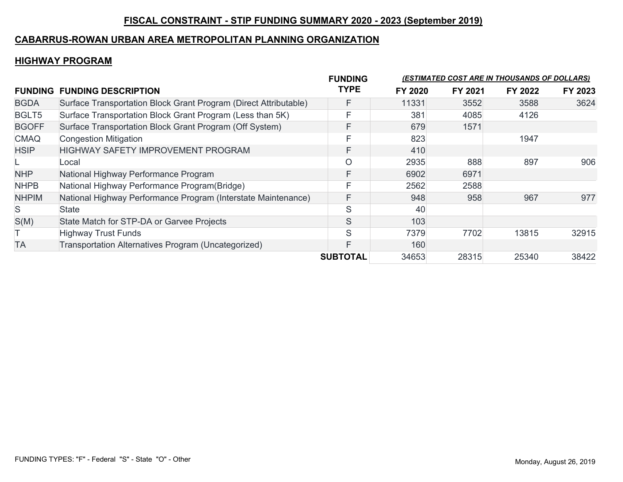# **FISCAL CONSTRAINT - STIP FUNDING SUMMARY 2020 - 2023 (September 2019)**

#### **CABARRUS-ROWAN URBAN AREA METROPOLITAN PLANNING ORGANIZATION**

### **HIGHWAY PROGRAM**

| <b>FUNDING</b> | <b>FUNDING DESCRIPTION</b>                                       | <b>FUNDING</b><br><b>TYPE</b> |         | <u>(ESTIMATED COST ARE IN THOUSANDS OF DOLLARS)</u> |         |         |  |
|----------------|------------------------------------------------------------------|-------------------------------|---------|-----------------------------------------------------|---------|---------|--|
|                |                                                                  |                               | FY 2020 | FY 2021                                             | FY 2022 | FY 2023 |  |
| <b>BGDA</b>    | Surface Transportation Block Grant Program (Direct Attributable) | F                             | 11331   | 3552                                                | 3588    | 3624    |  |
| BGLT5          | Surface Transportation Block Grant Program (Less than 5K)        | F                             | 381     | 4085                                                | 4126    |         |  |
| <b>BGOFF</b>   | Surface Transportation Block Grant Program (Off System)          | F                             | 679     | 1571                                                |         |         |  |
| <b>CMAQ</b>    | <b>Congestion Mitigation</b>                                     | E                             | 823     |                                                     | 1947    |         |  |
| <b>HSIP</b>    | <b>HIGHWAY SAFETY IMPROVEMENT PROGRAM</b>                        | F                             | 410     |                                                     |         |         |  |
|                | Local                                                            | $\circ$                       | 2935    | 888                                                 | 897     | 906     |  |
| <b>NHP</b>     | National Highway Performance Program                             | F                             | 6902    | 6971                                                |         |         |  |
| <b>NHPB</b>    | National Highway Performance Program(Bridge)                     | F                             | 2562    | 2588                                                |         |         |  |
| <b>NHPIM</b>   | National Highway Performance Program (Interstate Maintenance)    | F                             | 948     | 958                                                 | 967     | 977     |  |
| S              | <b>State</b>                                                     | S                             | 40      |                                                     |         |         |  |
| S(M)           | State Match for STP-DA or Garvee Projects                        | S                             | 103     |                                                     |         |         |  |
|                | <b>Highway Trust Funds</b>                                       | S                             | 7379    | 7702                                                | 13815   | 32915   |  |
| <b>TA</b>      | Transportation Alternatives Program (Uncategorized)              | F                             | 160     |                                                     |         |         |  |
|                |                                                                  | <b>SUBTOTAL</b>               | 34653   | 28315                                               | 25340   | 38422   |  |